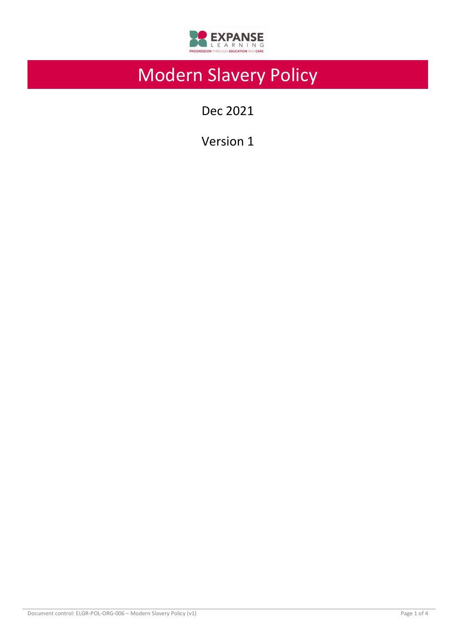

# Modern Slavery Policy

Dec 2021

Version 1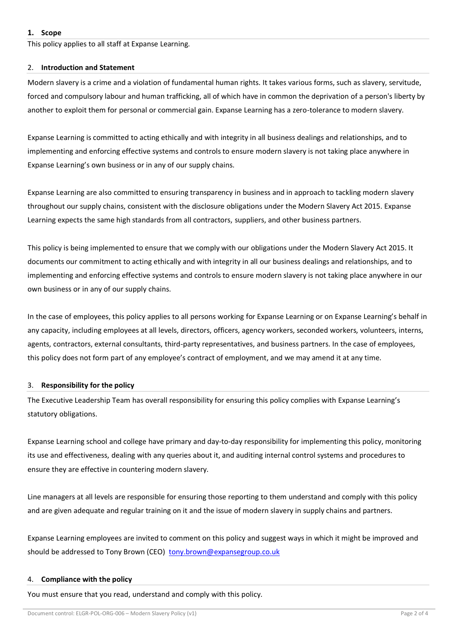This policy applies to all staff at Expanse Learning.

#### 2. **Introduction and Statement**

Modern slavery is a crime and a violation of fundamental human rights. It takes various forms, such as slavery, servitude, forced and compulsory labour and human trafficking, all of which have in common the deprivation of a person's liberty by another to exploit them for personal or commercial gain. Expanse Learning has a zero-tolerance to modern slavery.

Expanse Learning is committed to acting ethically and with integrity in all business dealings and relationships, and to implementing and enforcing effective systems and controls to ensure modern slavery is not taking place anywhere in Expanse Learning's own business or in any of our supply chains.

Expanse Learning are also committed to ensuring transparency in business and in approach to tackling modern slavery throughout our supply chains, consistent with the disclosure obligations under the Modern Slavery Act 2015. Expanse Learning expects the same high standards from all contractors, suppliers, and other business partners.

This policy is being implemented to ensure that we comply with our obligations under the Modern Slavery Act 2015. It documents our commitment to acting ethically and with integrity in all our business dealings and relationships, and to implementing and enforcing effective systems and controls to ensure modern slavery is not taking place anywhere in our own business or in any of our supply chains.

In the case of employees, this policy applies to all persons working for Expanse Learning or on Expanse Learning's behalf in any capacity, including employees at all levels, directors, officers, agency workers, seconded workers, volunteers, interns, agents, contractors, external consultants, third-party representatives, and business partners. In the case of employees, this policy does not form part of any employee's contract of employment, and we may amend it at any time.

# 3. **Responsibility for the policy**

The Executive Leadership Team has overall responsibility for ensuring this policy complies with Expanse Learning's statutory obligations.

Expanse Learning school and college have primary and day-to-day responsibility for implementing this policy, monitoring its use and effectiveness, dealing with any queries about it, and auditing internal control systems and procedures to ensure they are effective in countering modern slavery.

Line managers at all levels are responsible for ensuring those reporting to them understand and comply with this policy and are given adequate and regular training on it and the issue of modern slavery in supply chains and partners.

Expanse Learning employees are invited to comment on this policy and suggest ways in which it might be improved and should be addressed to Tony Brown (CEO) [tony.brown@expansegroup.co.uk](mailto:tony.brown@expansegroup.co.uk)

# 4. **Compliance with the policy**

You must ensure that you read, understand and comply with this policy.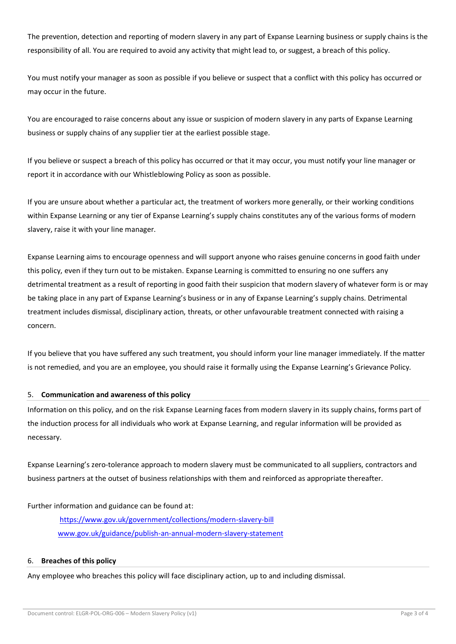The prevention, detection and reporting of modern slavery in any part of Expanse Learning business or supply chains is the responsibility of all. You are required to avoid any activity that might lead to, or suggest, a breach of this policy.

You must notify your manager as soon as possible if you believe or suspect that a conflict with this policy has occurred or may occur in the future.

You are encouraged to raise concerns about any issue or suspicion of modern slavery in any parts of Expanse Learning business or supply chains of any supplier tier at the earliest possible stage.

If you believe or suspect a breach of this policy has occurred or that it may occur, you must notify your line manager or report it in accordance with our Whistleblowing Policy as soon as possible.

If you are unsure about whether a particular act, the treatment of workers more generally, or their working conditions within Expanse Learning or any tier of Expanse Learning's supply chains constitutes any of the various forms of modern slavery, raise it with your line manager.

Expanse Learning aims to encourage openness and will support anyone who raises genuine concerns in good faith under this policy, even if they turn out to be mistaken. Expanse Learning is committed to ensuring no one suffers any detrimental treatment as a result of reporting in good faith their suspicion that modern slavery of whatever form is or may be taking place in any part of Expanse Learning's business or in any of Expanse Learning's supply chains. Detrimental treatment includes dismissal, disciplinary action, threats, or other unfavourable treatment connected with raising a concern.

If you believe that you have suffered any such treatment, you should inform your line manager immediately. If the matter is not remedied, and you are an employee, you should raise it formally using the Expanse Learning's Grievance Policy.

# 5. **Communication and awareness of this policy**

Information on this policy, and on the risk Expanse Learning faces from modern slavery in its supply chains, forms part of the induction process for all individuals who work at Expanse Learning, and regular information will be provided as necessary.

Expanse Learning's zero-tolerance approach to modern slavery must be communicated to all suppliers, contractors and business partners at the outset of business relationships with them and reinforced as appropriate thereafter.

Further information and guidance can be found at:

<https://www.gov.uk/government/collections/modern-slavery-bill> [www.gov.uk/guidance/publish-an-annual-modern-slavery-statement](http://www.gov.uk/guidance/publish-an-annual-modern-slavery-statement)

#### 6. **Breaches of this policy**

Any employee who breaches this policy will face disciplinary action, up to and including dismissal.